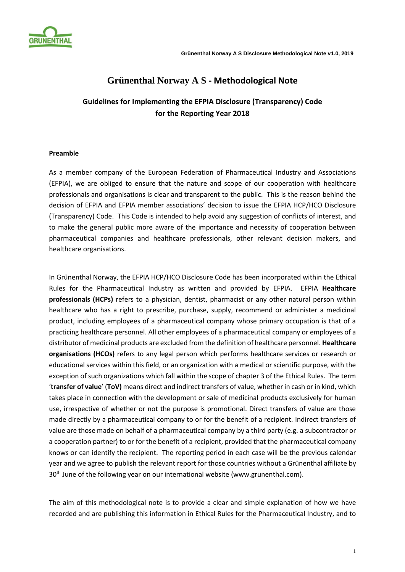

# **Grünenthal Norway A S - Methodological Note**

# **Guidelines for Implementing the EFPIA Disclosure (Transparency) Code for the Reporting Year 2018**

#### **Preamble**

As a member company of the European Federation of Pharmaceutical Industry and Associations (EFPIA), we are obliged to ensure that the nature and scope of our cooperation with healthcare professionals and organisations is clear and transparent to the public. This is the reason behind the decision of EFPIA and EFPIA member associations' decision to issue the EFPIA HCP/HCO Disclosure (Transparency) Code. This Code is intended to help avoid any suggestion of conflicts of interest, and to make the general public more aware of the importance and necessity of cooperation between pharmaceutical companies and healthcare professionals, other relevant decision makers, and healthcare organisations.

In Grünenthal Norway, the EFPIA HCP/HCO Disclosure Code has been incorporated within the Ethical Rules for the Pharmaceutical Industry as written and provided by EFPIA. EFPIA **Healthcare professionals (HCPs)** refers to a physician, dentist, pharmacist or any other natural person within healthcare who has a right to prescribe, purchase, supply, recommend or administer a medicinal product, including employees of a pharmaceutical company whose primary occupation is that of a practicing healthcare personnel. All other employees of a pharmaceutical company or employees of a distributor of medicinal products are excluded from the definition of healthcare personnel. **Healthcare organisations (HCOs)** refers to any legal person which performs healthcare services or research or educational services within this field, or an organization with a medical or scientific purpose, with the exception of such organizations which fall within the scope of chapter 3 of the Ethical Rules. The term '**transfer of value**' (**ToV)** means direct and indirect transfers of value, whether in cash or in kind, which takes place in connection with the development or sale of medicinal products exclusively for human use, irrespective of whether or not the purpose is promotional. Direct transfers of value are those made directly by a pharmaceutical company to or for the benefit of a recipient. Indirect transfers of value are those made on behalf of a pharmaceutical company by a third party (e.g. a subcontractor or a cooperation partner) to or for the benefit of a recipient, provided that the pharmaceutical company knows or can identify the recipient. The reporting period in each case will be the previous calendar year and we agree to publish the relevant report for those countries without a Grünenthal affiliate by 30<sup>th</sup> June of the following year on our international website (www.grunenthal.com).

The aim of this methodological note is to provide a clear and simple explanation of how we have recorded and are publishing this information in Ethical Rules for the Pharmaceutical Industry, and to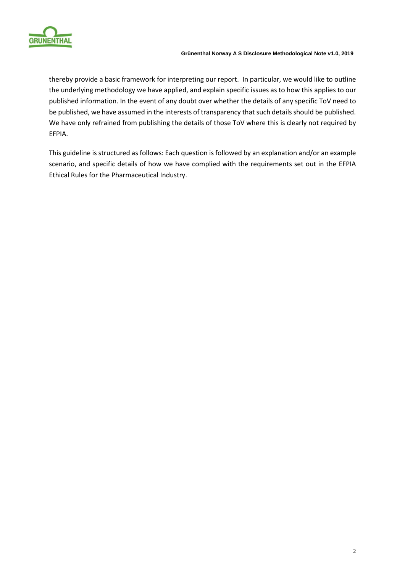

thereby provide a basic framework for interpreting our report. In particular, we would like to outline the underlying methodology we have applied, and explain specific issues as to how this applies to our published information. In the event of any doubt over whether the details of any specific ToV need to be published, we have assumed in the interests of transparency that such details should be published. We have only refrained from publishing the details of those ToV where this is clearly not required by EFPIA.

This guideline is structured as follows: Each question is followed by an explanation and/or an example scenario, and specific details of how we have complied with the requirements set out in the EFPIA Ethical Rules for the Pharmaceutical Industry.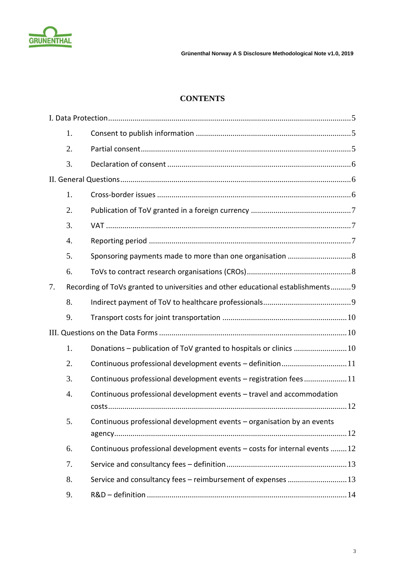

# **CONTENTS**

| 1.                                                                                    |                                                                           |
|---------------------------------------------------------------------------------------|---------------------------------------------------------------------------|
| 2.                                                                                    |                                                                           |
| 3.                                                                                    |                                                                           |
|                                                                                       |                                                                           |
| 1.                                                                                    |                                                                           |
| 2.                                                                                    |                                                                           |
| 3.                                                                                    |                                                                           |
| 4.                                                                                    |                                                                           |
| 5.                                                                                    |                                                                           |
| 6.                                                                                    |                                                                           |
| Recording of ToVs granted to universities and other educational establishments9<br>7. |                                                                           |
| 8.                                                                                    |                                                                           |
| 9.                                                                                    |                                                                           |
|                                                                                       |                                                                           |
| 1.                                                                                    |                                                                           |
| 2.                                                                                    | Continuous professional development events - definition11                 |
| 3.                                                                                    | Continuous professional development events - registration fees11          |
| 4.                                                                                    | Continuous professional development events - travel and accommodation     |
|                                                                                       |                                                                           |
|                                                                                       | Continuous professional development events - organisation by an events    |
| 6.                                                                                    | Continuous professional development events - costs for internal events 12 |
| 7.                                                                                    |                                                                           |
| 8.                                                                                    |                                                                           |
| 9.                                                                                    |                                                                           |
|                                                                                       | 5.                                                                        |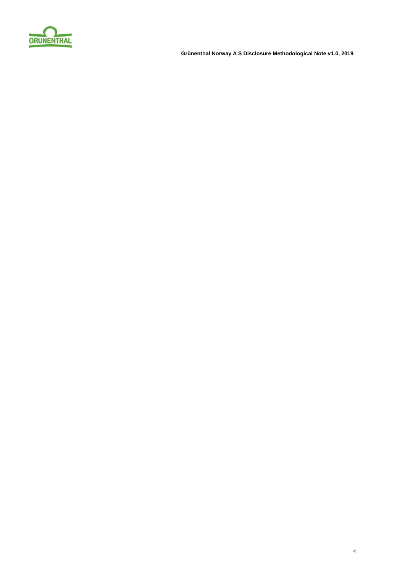

 **Grünenthal Norway A S Disclosure Methodological Note v1.0, 2019**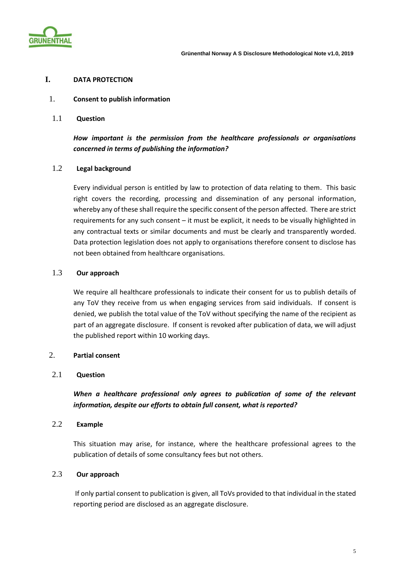

### <span id="page-4-0"></span>**I. DATA PROTECTION**

#### <span id="page-4-1"></span>1. **Consent to publish information**

1.1 **Question**

# *How important is the permission from the healthcare professionals or organisations concerned in terms of publishing the information?*

#### 1.2 **Legal background**

Every individual person is entitled by law to protection of data relating to them. This basic right covers the recording, processing and dissemination of any personal information, whereby any of these shall require the specific consent of the person affected. There are strict requirements for any such consent – it must be explicit, it needs to be visually highlighted in any contractual texts or similar documents and must be clearly and transparently worded. Data protection legislation does not apply to organisations therefore consent to disclose has not been obtained from healthcare organisations.

# 1.3 **Our approach**

We require all healthcare professionals to indicate their consent for us to publish details of any ToV they receive from us when engaging services from said individuals. If consent is denied, we publish the total value of the ToV without specifying the name of the recipient as part of an aggregate disclosure. If consent is revoked after publication of data, we will adjust the published report within 10 working days.

# <span id="page-4-2"></span>2. **Partial consent**

#### 2.1 **Question**

*When a healthcare professional only agrees to publication of some of the relevant information, despite our efforts to obtain full consent, what is reported?*

### 2.2 **Example**

This situation may arise, for instance, where the healthcare professional agrees to the publication of details of some consultancy fees but not others.

### 2.3 **Our approach**

If only partial consent to publication is given, all ToVs provided to that individual in the stated reporting period are disclosed as an aggregate disclosure.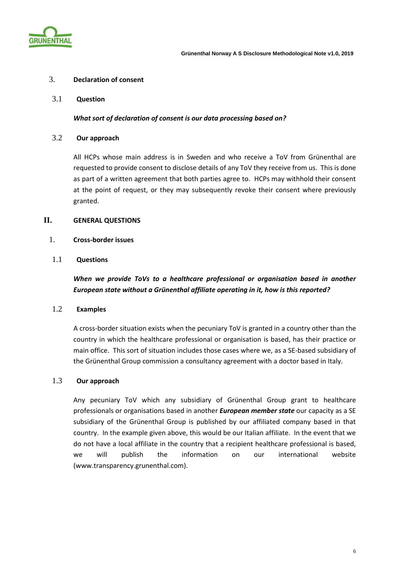

#### <span id="page-5-0"></span>3. **Declaration of consent**

#### 3.1 **Question**

*What sort of declaration of consent is our data processing based on?*

### 3.2 **Our approach**

All HCPs whose main address is in Sweden and who receive a ToV from Grünenthal are requested to provide consent to disclose details of any ToV they receive from us. This is done as part of a written agreement that both parties agree to. HCPs may withhold their consent at the point of request, or they may subsequently revoke their consent where previously granted.

### <span id="page-5-1"></span>**II. GENERAL QUESTIONS**

### <span id="page-5-2"></span>1. **Cross-border issues**

#### 1.1 **Questions**

*When we provide ToVs to a healthcare professional or organisation based in another European state without a Grünenthal affiliate operating in it, how is this reported?*

#### 1.2 **Examples**

A cross-border situation exists when the pecuniary ToV is granted in a country other than the country in which the healthcare professional or organisation is based, has their practice or main office. This sort of situation includes those cases where we, as a SE-based subsidiary of the Grünenthal Group commission a consultancy agreement with a doctor based in Italy.

### 1.3 **Our approach**

Any pecuniary ToV which any subsidiary of Grünenthal Group grant to healthcare professionals or organisations based in another *European member state* our capacity as a SE subsidiary of the Grünenthal Group is published by our affiliated company based in that country. In the example given above, this would be our Italian affiliate. In the event that we do not have a local affiliate in the country that a recipient healthcare professional is based, we will publish the information on our international website (www.transparency.grunenthal.com).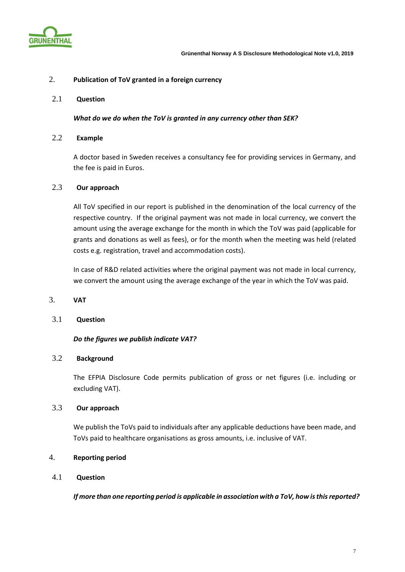

### <span id="page-6-0"></span>2. **Publication of ToV granted in a foreign currency**

### 2.1 **Question**

*What do we do when the ToV is granted in any currency other than SEK?*

### 2.2 **Example**

A doctor based in Sweden receives a consultancy fee for providing services in Germany, and the fee is paid in Euros.

### 2.3 **Our approach**

All ToV specified in our report is published in the denomination of the local currency of the respective country. If the original payment was not made in local currency, we convert the amount using the average exchange for the month in which the ToV was paid (applicable for grants and donations as well as fees), or for the month when the meeting was held (related costs e.g. registration, travel and accommodation costs).

In case of R&D related activities where the original payment was not made in local currency, we convert the amount using the average exchange of the year in which the ToV was paid.

### <span id="page-6-1"></span>3. **VAT**

# 3.1 **Question**

# *Do the figures we publish indicate VAT?*

# 3.2 **Background**

The EFPIA Disclosure Code permits publication of gross or net figures (i.e. including or excluding VAT).

## 3.3 **Our approach**

We publish the ToVs paid to individuals after any applicable deductions have been made, and ToVs paid to healthcare organisations as gross amounts, i.e. inclusive of VAT.

# <span id="page-6-2"></span>4. **Reporting period**

# 4.1 **Question**

*If more than one reporting period is applicable in association with a ToV, how is this reported?*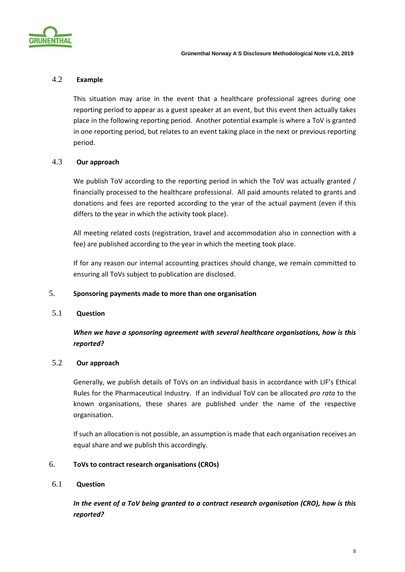

## 4.2 **Example**

This situation may arise in the event that a healthcare professional agrees during one reporting period to appear as a guest speaker at an event, but this event then actually takes place in the following reporting period. Another potential example is where a ToV is granted in one reporting period, but relates to an event taking place in the next or previous reporting period.

### 4.3 **Our approach**

We publish ToV according to the reporting period in which the ToV was actually granted / financially processed to the healthcare professional. All paid amounts related to grants and donations and fees are reported according to the year of the actual payment (even if this differs to the year in which the activity took place).

All meeting related costs (registration, travel and accommodation also in connection with a fee) are published according to the year in which the meeting took place.

If for any reason our internal accounting practices should change, we remain committed to ensuring all ToVs subject to publication are disclosed.

### <span id="page-7-0"></span>5. **Sponsoring payments made to more than one organisation**

### 5.1 **Question**

*When we have a sponsoring agreement with several healthcare organisations, how is this reported?*

### 5.2 **Our approach**

Generally, we publish details of ToVs on an individual basis in accordance with LIF's Ethical Rules for the Pharmaceutical Industry. If an individual ToV can be allocated *pro rata* to the known organisations, these shares are published under the name of the respective organisation.

If such an allocation is not possible, an assumption is made that each organisation receives an equal share and we publish this accordingly.

# <span id="page-7-1"></span>6. **ToVs to contract research organisations (CROs)**

### 6.1 **Question**

*In the event of a ToV being granted to a contract research organisation (CRO), how is this reported?*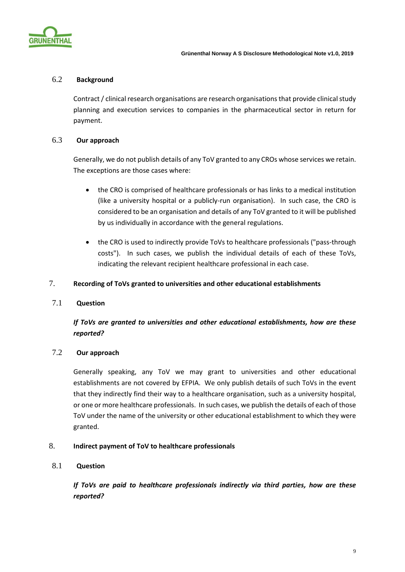

### 6.2 **Background**

Contract / clinical research organisations are research organisations that provide clinical study planning and execution services to companies in the pharmaceutical sector in return for payment.

### 6.3 **Our approach**

Generally, we do not publish details of any ToV granted to any CROs whose services we retain. The exceptions are those cases where:

- the CRO is comprised of healthcare professionals or has links to a medical institution (like a university hospital or a publicly-run organisation). In such case, the CRO is considered to be an organisation and details of any ToV granted to it will be published by us individually in accordance with the general regulations.
- the CRO is used to indirectly provide ToVs to healthcare professionals ("pass-through costs"). In such cases, we publish the individual details of each of these ToVs, indicating the relevant recipient healthcare professional in each case.

### <span id="page-8-0"></span>7. **Recording of ToVs granted to universities and other educational establishments**

### 7.1 **Question**

# *If ToVs are granted to universities and other educational establishments, how are these reported?*

### 7.2 **Our approach**

Generally speaking, any ToV we may grant to universities and other educational establishments are not covered by EFPIA. We only publish details of such ToVs in the event that they indirectly find their way to a healthcare organisation, such as a university hospital, or one or more healthcare professionals. In such cases, we publish the details of each of those ToV under the name of the university or other educational establishment to which they were granted.

# <span id="page-8-1"></span>8. **Indirect payment of ToV to healthcare professionals**

# 8.1 **Question**

*If ToVs are paid to healthcare professionals indirectly via third parties, how are these reported?*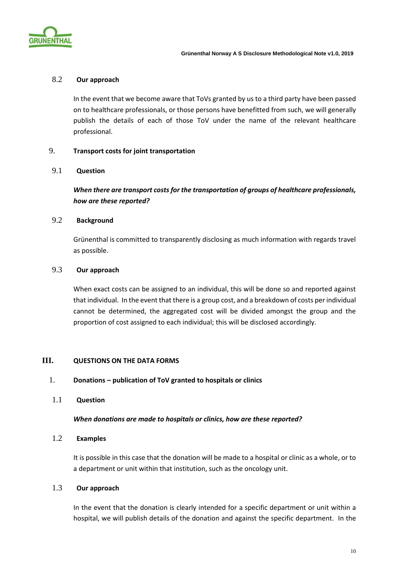

# 8.2 **Our approach**

In the event that we become aware that ToVs granted by us to a third party have been passed on to healthcare professionals, or those persons have benefitted from such, we will generally publish the details of each of those ToV under the name of the relevant healthcare professional.

### <span id="page-9-0"></span>9. **Transport costs for joint transportation**

# 9.1 **Question**

*When there are transport costs for the transportation of groups of healthcare professionals, how are these reported?*

# 9.2 **Background**

Grünenthal is committed to transparently disclosing as much information with regards travel as possible.

### 9.3 **Our approach**

When exact costs can be assigned to an individual, this will be done so and reported against that individual. In the event that there is a group cost, and a breakdown of costs per individual cannot be determined, the aggregated cost will be divided amongst the group and the proportion of cost assigned to each individual; this will be disclosed accordingly.

### <span id="page-9-1"></span>**III. QUESTIONS ON THE DATA FORMS**

### <span id="page-9-2"></span>1. **Donations – publication of ToV granted to hospitals or clinics**

1.1 **Question**

### *When donations are made to hospitals or clinics, how are these reported?*

### 1.2 **Examples**

It is possible in this case that the donation will be made to a hospital or clinic as a whole, or to a department or unit within that institution, such as the oncology unit.

# 1.3 **Our approach**

In the event that the donation is clearly intended for a specific department or unit within a hospital, we will publish details of the donation and against the specific department. In the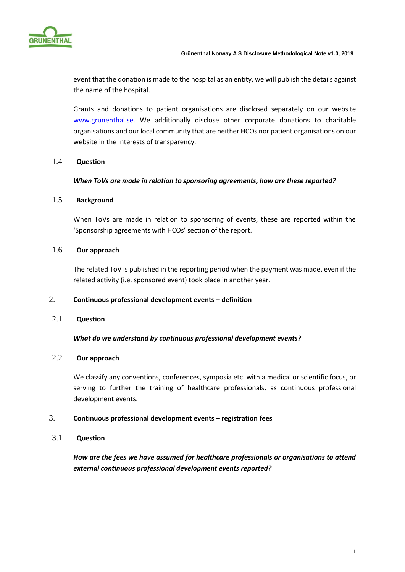

event that the donation is made to the hospital as an entity, we will publish the details against the name of the hospital.

Grants and donations to patient organisations are disclosed separately on our website [www.grunenthal.se.](http://www.grunenthal.se/) We additionally disclose other corporate donations to charitable organisations and our local community that are neither HCOs nor patient organisations on our website in the interests of transparency.

### 1.4 **Question**

### *When ToVs are made in relation to sponsoring agreements, how are these reported?*

### 1.5 **Background**

When ToVs are made in relation to sponsoring of events, these are reported within the 'Sponsorship agreements with HCOs' section of the report.

#### 1.6 **Our approach**

The related ToV is published in the reporting period when the payment was made, even if the related activity (i.e. sponsored event) took place in another year.

### <span id="page-10-0"></span>2. **Continuous professional development events – definition**

### 2.1 **Question**

### *What do we understand by continuous professional development events?*

### 2.2 **Our approach**

We classify any conventions, conferences, symposia etc. with a medical or scientific focus, or serving to further the training of healthcare professionals, as continuous professional development events.

### <span id="page-10-1"></span>3. **Continuous professional development events – registration fees**

### 3.1 **Question**

*How are the fees we have assumed for healthcare professionals or organisations to attend external continuous professional development events reported?*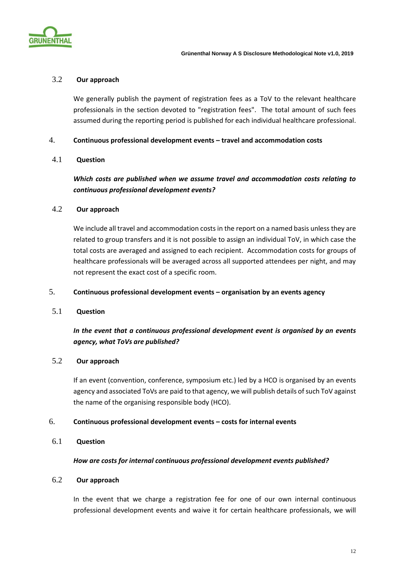

## 3.2 **Our approach**

We generally publish the payment of registration fees as a ToV to the relevant healthcare professionals in the section devoted to "registration fees". The total amount of such fees assumed during the reporting period is published for each individual healthcare professional.

### <span id="page-11-0"></span>4. **Continuous professional development events – travel and accommodation costs**

### 4.1 **Question**

*Which costs are published when we assume travel and accommodation costs relating to continuous professional development events?*

### 4.2 **Our approach**

We include all travel and accommodation costs in the report on a named basis unless they are related to group transfers and it is not possible to assign an individual ToV, in which case the total costs are averaged and assigned to each recipient. Accommodation costs for groups of healthcare professionals will be averaged across all supported attendees per night, and may not represent the exact cost of a specific room.

### <span id="page-11-1"></span>5. **Continuous professional development events – organisation by an events agency**

### 5.1 **Question**

# *In the event that a continuous professional development event is organised by an events agency, what ToVs are published?*

# 5.2 **Our approach**

If an event (convention, conference, symposium etc.) led by a HCO is organised by an events agency and associated ToVs are paid to that agency, we will publish details of such ToV against the name of the organising responsible body (HCO).

### <span id="page-11-2"></span>6. **Continuous professional development events – costs for internal events**

### 6.1 **Question**

### *How are costs for internal continuous professional development events published?*

# 6.2 **Our approach**

In the event that we charge a registration fee for one of our own internal continuous professional development events and waive it for certain healthcare professionals, we will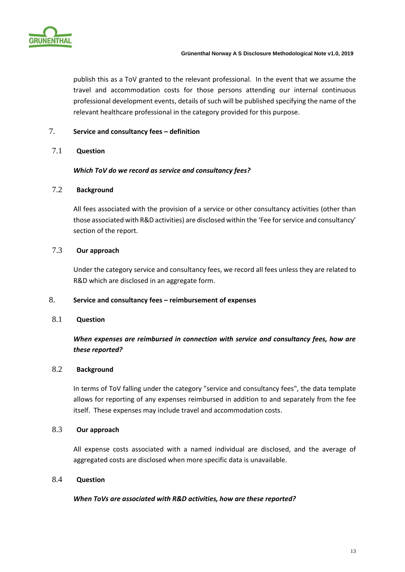

publish this as a ToV granted to the relevant professional. In the event that we assume the travel and accommodation costs for those persons attending our internal continuous professional development events, details of such will be published specifying the name of the relevant healthcare professional in the category provided for this purpose.

### <span id="page-12-0"></span>7. **Service and consultancy fees – definition**

### 7.1 **Question**

### *Which ToV do we record as service and consultancy fees?*

### 7.2 **Background**

All fees associated with the provision of a service or other consultancy activities (other than those associated with R&D activities) are disclosed within the 'Fee for service and consultancy' section of the report.

# 7.3 **Our approach**

Under the category service and consultancy fees, we record all fees unless they are related to R&D which are disclosed in an aggregate form.

### <span id="page-12-1"></span>8. **Service and consultancy fees – reimbursement of expenses**

# 8.1 **Question**

# *When expenses are reimbursed in connection with service and consultancy fees, how are these reported?*

### 8.2 **Background**

In terms of ToV falling under the category "service and consultancy fees", the data template allows for reporting of any expenses reimbursed in addition to and separately from the fee itself. These expenses may include travel and accommodation costs.

# 8.3 **Our approach**

All expense costs associated with a named individual are disclosed, and the average of aggregated costs are disclosed when more specific data is unavailable.

# 8.4 **Question**

### *When ToVs are associated with R&D activities, how are these reported?*